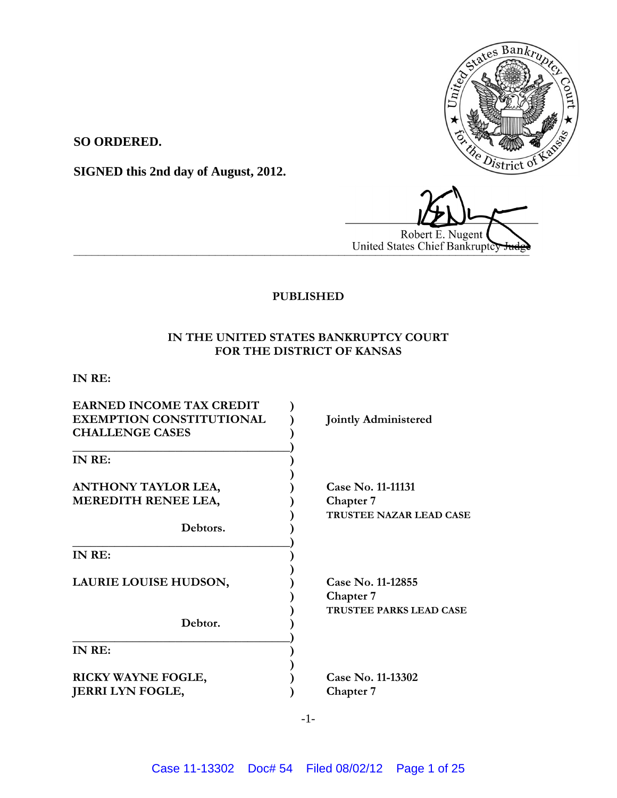

**SO ORDERED.**

**SIGNED this 2nd day of August, 2012.**

Robert E. Nugent **United States Chief Bankruptcy** 

# **PUBLISHED**

# **IN THE UNITED STATES BANKRUPTCY COURT FOR THE DISTRICT OF KANSAS**

**IN RE:**

| <b>EARNED INCOME TAX CREDIT</b><br><b>EXEMPTION CONSTITUTIONAL</b><br><b>CHALLENGE CASES</b> | <b>Jointly Administered</b>                                      |
|----------------------------------------------------------------------------------------------|------------------------------------------------------------------|
| IN RE:                                                                                       |                                                                  |
| <b>ANTHONY TAYLOR LEA,</b><br>MEREDITH RENEE LEA,                                            | Case No. 11-11131<br><b>Chapter 7</b><br>TRUSTEE NAZAR LEAD CASE |
| Debtors.                                                                                     |                                                                  |
| IN RE:                                                                                       |                                                                  |
| LAURIE LOUISE HUDSON,                                                                        | Case No. 11-12855<br><b>Chapter</b> 7<br>TRUSTEE PARKS LEAD CASE |
| Debtor.                                                                                      |                                                                  |
| IN RE:                                                                                       |                                                                  |
| RICKY WAYNE FOGLE,<br><b>JERRI LYN FOGLE,</b>                                                | Case No. 11-13302<br><b>Chapter</b> 7                            |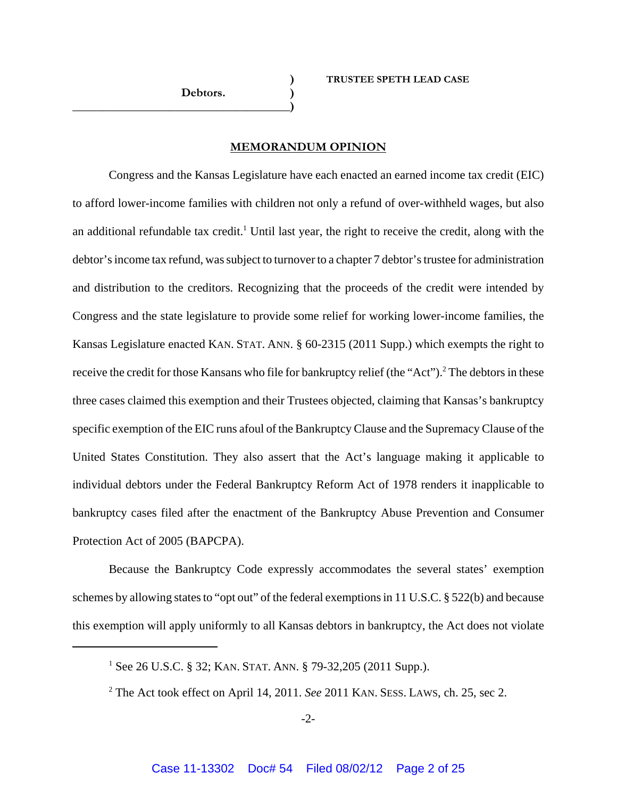## **MEMORANDUM OPINION**

Congress and the Kansas Legislature have each enacted an earned income tax credit (EIC) to afford lower-income families with children not only a refund of over-withheld wages, but also an additional refundable tax credit.<sup>1</sup> Until last year, the right to receive the credit, along with the debtor's income tax refund, was subject to turnover to a chapter 7 debtor's trustee for administration and distribution to the creditors. Recognizing that the proceeds of the credit were intended by Congress and the state legislature to provide some relief for working lower-income families, the Kansas Legislature enacted KAN. STAT. ANN. § 60-2315 (2011 Supp.) which exempts the right to receive the credit for those Kansans who file for bankruptcy relief (the "Act").<sup>2</sup> The debtors in these three cases claimed this exemption and their Trustees objected, claiming that Kansas's bankruptcy specific exemption of the EIC runs afoul of the Bankruptcy Clause and the Supremacy Clause of the United States Constitution. They also assert that the Act's language making it applicable to individual debtors under the Federal Bankruptcy Reform Act of 1978 renders it inapplicable to bankruptcy cases filed after the enactment of the Bankruptcy Abuse Prevention and Consumer Protection Act of 2005 (BAPCPA).

Because the Bankruptcy Code expressly accommodates the several states' exemption schemes by allowing states to "opt out" of the federal exemptions in 11 U.S.C. § 522(b) and because this exemption will apply uniformly to all Kansas debtors in bankruptcy, the Act does not violate

<sup>&</sup>lt;sup>1</sup> See 26 U.S.C. § 32; KAN. STAT. ANN. § 79-32,205 (2011 Supp.).

<sup>2</sup> The Act took effect on April 14, 2011. *See* 2011 KAN. SESS. LAWS, ch. 25, sec 2.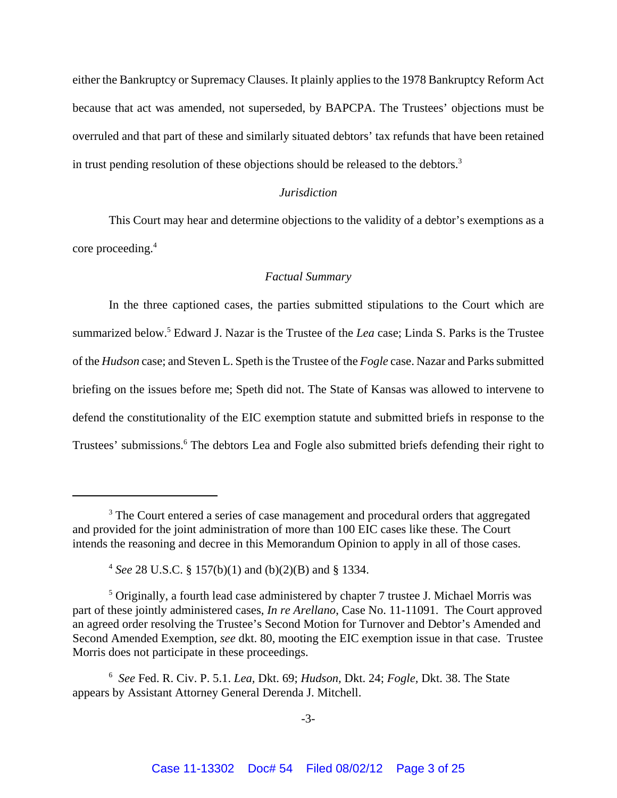either the Bankruptcy or Supremacy Clauses. It plainly applies to the 1978 Bankruptcy Reform Act because that act was amended, not superseded, by BAPCPA. The Trustees' objections must be overruled and that part of these and similarly situated debtors' tax refunds that have been retained in trust pending resolution of these objections should be released to the debtors.3

## *Jurisdiction*

This Court may hear and determine objections to the validity of a debtor's exemptions as a core proceeding.<sup>4</sup>

### *Factual Summary*

In the three captioned cases, the parties submitted stipulations to the Court which are summarized below.<sup>5</sup> Edward J. Nazar is the Trustee of the *Lea* case; Linda S. Parks is the Trustee of the *Hudson* case; and Steven L. Speth is the Trustee of the *Fogle* case. Nazar and Parks submitted briefing on the issues before me; Speth did not. The State of Kansas was allowed to intervene to defend the constitutionality of the EIC exemption statute and submitted briefs in response to the Trustees' submissions.<sup>6</sup> The debtors Lea and Fogle also submitted briefs defending their right to

<sup>&</sup>lt;sup>3</sup> The Court entered a series of case management and procedural orders that aggregated and provided for the joint administration of more than 100 EIC cases like these. The Court intends the reasoning and decree in this Memorandum Opinion to apply in all of those cases.

<sup>4</sup> *See* 28 U.S.C. § 157(b)(1) and (b)(2)(B) and § 1334.

<sup>&</sup>lt;sup>5</sup> Originally, a fourth lead case administered by chapter 7 trustee J. Michael Morris was part of these jointly administered cases, *In re Arellano*, Case No. 11-11091. The Court approved an agreed order resolving the Trustee's Second Motion for Turnover and Debtor's Amended and Second Amended Exemption, *see* dkt. 80, mooting the EIC exemption issue in that case. Trustee Morris does not participate in these proceedings.

<sup>6</sup> *See* Fed. R. Civ. P. 5.1. *Lea,* Dkt. 69; *Hudson,* Dkt. 24; *Fogle,* Dkt. 38. The State appears by Assistant Attorney General Derenda J. Mitchell.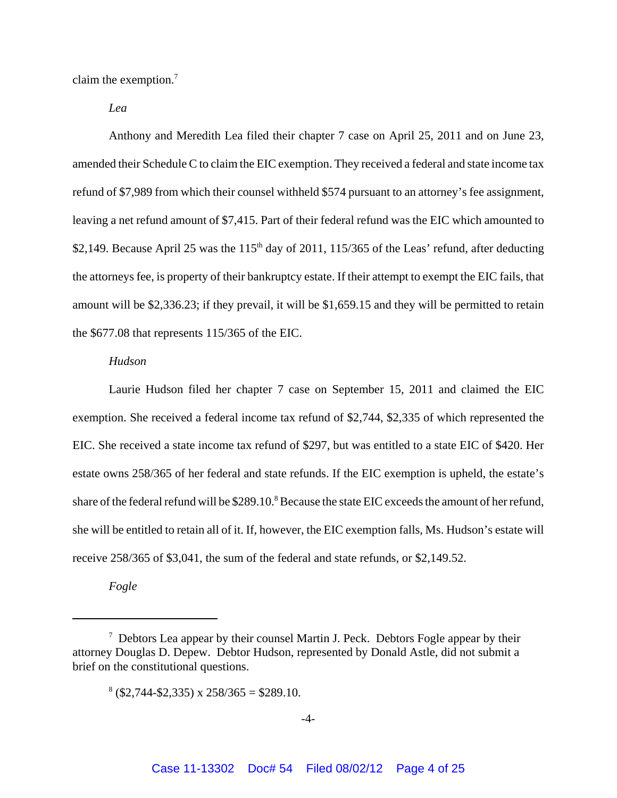claim the exemption.7

*Lea*

Anthony and Meredith Lea filed their chapter 7 case on April 25, 2011 and on June 23, amended their Schedule C to claim the EIC exemption. They received a federal and state income tax refund of \$7,989 from which their counsel withheld \$574 pursuant to an attorney's fee assignment, leaving a net refund amount of \$7,415. Part of their federal refund was the EIC which amounted to \$2,149. Because April 25 was the  $115<sup>th</sup>$  day of 2011, 115/365 of the Leas' refund, after deducting the attorneys fee, is property of their bankruptcy estate. If their attempt to exempt the EIC fails, that amount will be \$2,336.23; if they prevail, it will be \$1,659.15 and they will be permitted to retain the \$677.08 that represents 115/365 of the EIC.

### *Hudson*

Laurie Hudson filed her chapter 7 case on September 15, 2011 and claimed the EIC exemption. She received a federal income tax refund of \$2,744, \$2,335 of which represented the EIC. She received a state income tax refund of \$297, but was entitled to a state EIC of \$420. Her estate owns 258/365 of her federal and state refunds. If the EIC exemption is upheld, the estate's share of the federal refund will be  $$289.10$ .<sup>8</sup> Because the state EIC exceeds the amount of her refund, she will be entitled to retain all of it. If, however, the EIC exemption falls, Ms. Hudson's estate will receive 258/365 of \$3,041, the sum of the federal and state refunds, or \$2,149.52.

*Fogle*

 $7$  Debtors Lea appear by their counsel Martin J. Peck. Debtors Fogle appear by their attorney Douglas D. Depew. Debtor Hudson, represented by Donald Astle, did not submit a brief on the constitutional questions.

 $8$  (\$2,744-\$2,335) x 258/365 = \$289.10.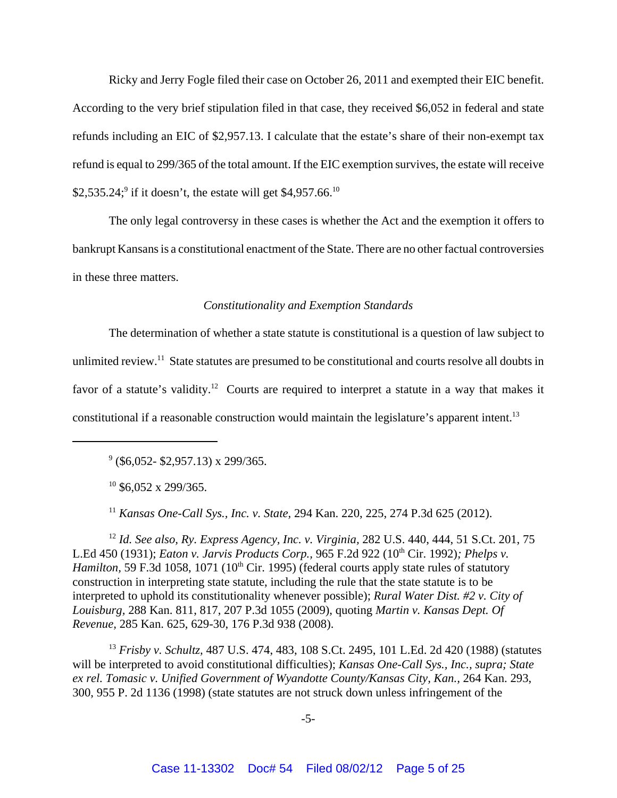Ricky and Jerry Fogle filed their case on October 26, 2011 and exempted their EIC benefit. According to the very brief stipulation filed in that case, they received \$6,052 in federal and state refunds including an EIC of \$2,957.13. I calculate that the estate's share of their non-exempt tax refund is equal to 299/365 of the total amount. If the EIC exemption survives, the estate will receive \$2,535.24;<sup>9</sup> if it doesn't, the estate will get \$4,957.66.<sup>10</sup>

The only legal controversy in these cases is whether the Act and the exemption it offers to bankrupt Kansans is a constitutional enactment of the State. There are no other factual controversies in these three matters.

### *Constitutionality and Exemption Standards*

The determination of whether a state statute is constitutional is a question of law subject to unlimited review.<sup>11</sup> State statutes are presumed to be constitutional and courts resolve all doubts in favor of a statute's validity.<sup>12</sup> Courts are required to interpret a statute in a way that makes it constitutional if a reasonable construction would maintain the legislature's apparent intent.<sup>13</sup>

 $9$  (\$6,052- \$2,957.13) x 299/365.

 $10$  \$6,052 x 299/365.

<sup>11</sup> *Kansas One-Call Sys., Inc. v. State,* 294 Kan. 220, 225, 274 P.3d 625 (2012).

<sup>12</sup> *Id. See also, Ry. Express Agency, Inc. v. Virginia,* 282 U.S. 440, 444, 51 S.Ct. 201, 75 L.Ed 450 (1931); *Eaton v. Jarvis Products Corp.,* 965 F.2d 922 (10th Cir. 1992)*; Phelps v. Hamilton,* 59 F.3d 1058, 1071 (10<sup>th</sup> Cir. 1995) (federal courts apply state rules of statutory construction in interpreting state statute, including the rule that the state statute is to be interpreted to uphold its constitutionality whenever possible); *Rural Water Dist. #2 v. City of Louisburg,* 288 Kan. 811, 817, 207 P.3d 1055 (2009), quoting *Martin v. Kansas Dept. Of Revenue,* 285 Kan. 625, 629-30, 176 P.3d 938 (2008).

<sup>13</sup> *Frisby v. Schultz,* 487 U.S. 474, 483, 108 S.Ct. 2495, 101 L.Ed. 2d 420 (1988) (statutes will be interpreted to avoid constitutional difficulties); *Kansas One-Call Sys., Inc., supra; State* ex rel. Tomasic v. Unified Government of Wyandotte County/Kansas City, Kan., 264 Kan. 293, 300, 955 P. 2d 1136 (1998) (state statutes are not struck down unless infringement of the

-5-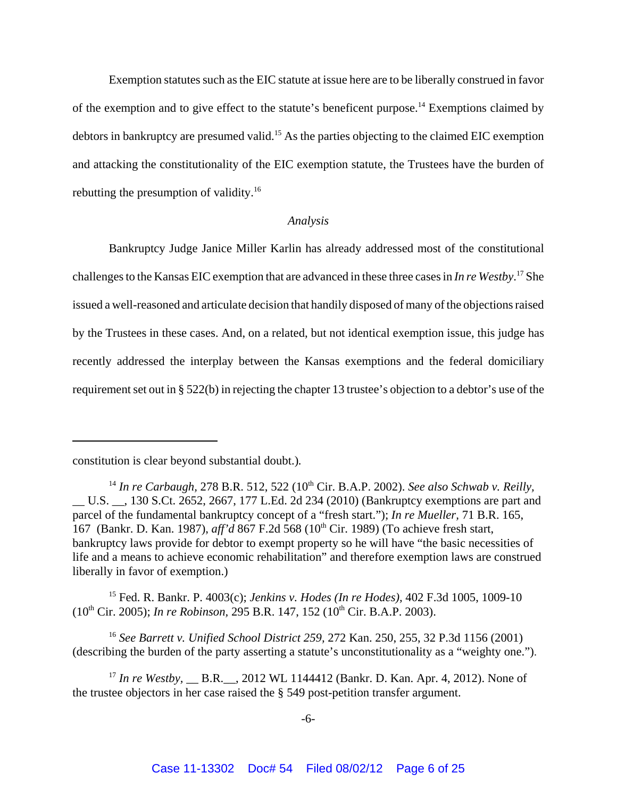Exemption statutes such as the EIC statute at issue here are to be liberally construed in favor of the exemption and to give effect to the statute's beneficent purpose.14 Exemptions claimed by debtors in bankruptcy are presumed valid.<sup>15</sup> As the parties objecting to the claimed EIC exemption and attacking the constitutionality of the EIC exemption statute, the Trustees have the burden of rebutting the presumption of validity.16

#### *Analysis*

Bankruptcy Judge Janice Miller Karlin has already addressed most of the constitutional challenges to the Kansas EIC exemption that are advanced in these three cases in *In re Westby*. 17 She issued a well-reasoned and articulate decision that handily disposed of many of the objections raised by the Trustees in these cases. And, on a related, but not identical exemption issue, this judge has recently addressed the interplay between the Kansas exemptions and the federal domiciliary requirement set out in § 522(b) in rejecting the chapter 13 trustee's objection to a debtor's use of the

15 Fed. R. Bankr. P. 4003(c); *Jenkins v. Hodes (In re Hodes),* 402 F.3d 1005, 1009-10 (10th Cir. 2005); *In re Robinson,* 295 B.R. 147, 152 (10th Cir. B.A.P. 2003).

<sup>16</sup> *See Barrett v. Unified School District 259,* 272 Kan. 250, 255, 32 P.3d 1156 (2001) (describing the burden of the party asserting a statute's unconstitutionality as a "weighty one.").

<sup>17</sup> *In re Westby*, <u>\_\_\_</u> B.R. \_\_\_, 2012 WL 1144412 (Bankr. D. Kan. Apr. 4, 2012). None of the trustee objectors in her case raised the § 549 post-petition transfer argument.

constitution is clear beyond substantial doubt.)*.*

<sup>&</sup>lt;sup>14</sup> In re Carbaugh, 278 B.R. 512, 522 (10<sup>th</sup> Cir. B.A.P. 2002). *See also Schwab v. Reilly*, U.S.  $\ldots$ , 130 S.Ct. 2652, 2667, 177 L.Ed. 2d 234 (2010) (Bankruptcy exemptions are part and parcel of the fundamental bankruptcy concept of a "fresh start."); *In re Mueller,* 71 B.R. 165, 167 (Bankr, D. Kan. 1987), *aff'd* 867 F.2d 568 (10<sup>th</sup> Cir. 1989) (To achieve fresh start, bankruptcy laws provide for debtor to exempt property so he will have "the basic necessities of life and a means to achieve economic rehabilitation" and therefore exemption laws are construed liberally in favor of exemption.)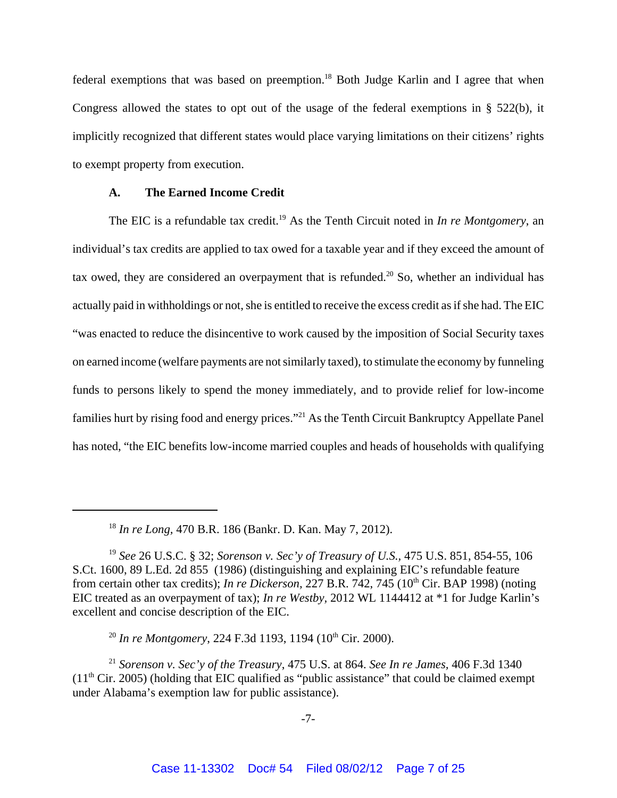federal exemptions that was based on preemption.<sup>18</sup> Both Judge Karlin and I agree that when Congress allowed the states to opt out of the usage of the federal exemptions in § 522(b), it implicitly recognized that different states would place varying limitations on their citizens' rights to exempt property from execution.

#### **A. The Earned Income Credit**

The EIC is a refundable tax credit.<sup>19</sup> As the Tenth Circuit noted in *In re Montgomery*, an individual's tax credits are applied to tax owed for a taxable year and if they exceed the amount of tax owed, they are considered an overpayment that is refunded.<sup>20</sup> So, whether an individual has actually paid in withholdings or not, she is entitled to receive the excess credit as if she had. The EIC "was enacted to reduce the disincentive to work caused by the imposition of Social Security taxes on earned income (welfare payments are not similarly taxed), to stimulate the economy by funneling funds to persons likely to spend the money immediately, and to provide relief for low-income families hurt by rising food and energy prices."21 As the Tenth Circuit Bankruptcy Appellate Panel has noted, "the EIC benefits low-income married couples and heads of households with qualifying

<sup>20</sup> *In re Montgomery*, 224 F.3d 1193, 1194 (10<sup>th</sup> Cir. 2000).

<sup>18</sup> *In re Long,* 470 B.R. 186 (Bankr. D. Kan. May 7, 2012).

<sup>19</sup> *See* 26 U.S.C. § 32; *Sorenson v. Sec'y of Treasury of U.S.,* 475 U.S. 851, 854-55, 106 S.Ct. 1600, 89 L.Ed. 2d 855 (1986) (distinguishing and explaining EIC's refundable feature from certain other tax credits); *In re Dickerson*, 227 B.R. 742, 745 (10<sup>th</sup> Cir. BAP 1998) (noting EIC treated as an overpayment of tax); *In re Westby,* 2012 WL 1144412 at \*1 for Judge Karlin's excellent and concise description of the EIC.

<sup>21</sup> *Sorenson v. Sec'y of the Treasury*, 475 U.S. at 864. *See In re James,* 406 F.3d 1340  $(11<sup>th</sup> Cir. 2005)$  (holding that EIC qualified as "public assistance" that could be claimed exempt under Alabama's exemption law for public assistance).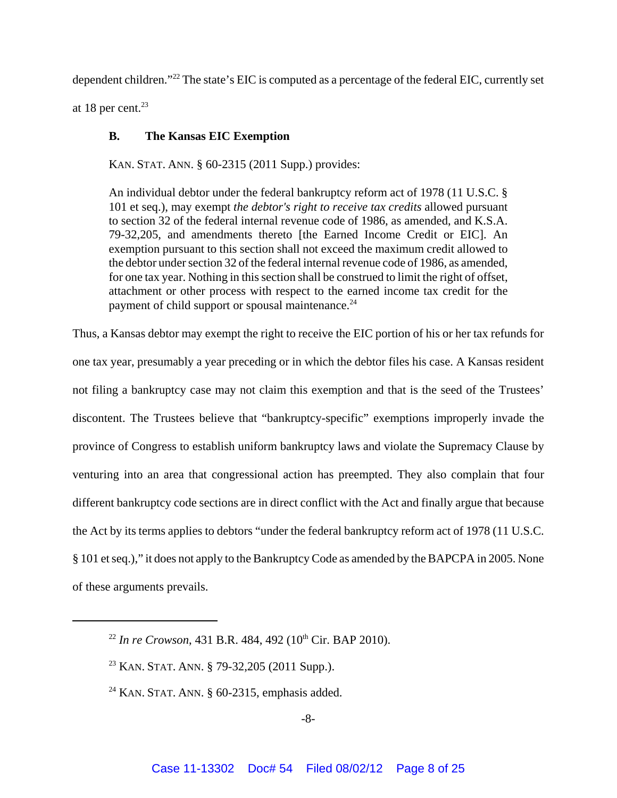dependent children."22 The state's EIC is computed as a percentage of the federal EIC, currently set at 18 per cent. $23$ 

## **B. The Kansas EIC Exemption**

KAN. STAT. ANN. § 60-2315 (2011 Supp.) provides:

An individual debtor under the federal bankruptcy reform act of 1978 (11 U.S.C. § 101 et seq.), may exempt *the debtor's right to receive tax credits* allowed pursuant to section 32 of the federal internal revenue code of 1986, as amended, and K.S.A. 79-32,205, and amendments thereto [the Earned Income Credit or EIC]. An exemption pursuant to this section shall not exceed the maximum credit allowed to the debtor under section 32 of the federal internal revenue code of 1986, as amended, for one tax year. Nothing in this section shall be construed to limit the right of offset, attachment or other process with respect to the earned income tax credit for the payment of child support or spousal maintenance.<sup>24</sup>

Thus, a Kansas debtor may exempt the right to receive the EIC portion of his or her tax refunds for one tax year, presumably a year preceding or in which the debtor files his case. A Kansas resident not filing a bankruptcy case may not claim this exemption and that is the seed of the Trustees' discontent. The Trustees believe that "bankruptcy-specific" exemptions improperly invade the province of Congress to establish uniform bankruptcy laws and violate the Supremacy Clause by venturing into an area that congressional action has preempted. They also complain that four different bankruptcy code sections are in direct conflict with the Act and finally argue that because the Act by its terms applies to debtors "under the federal bankruptcy reform act of 1978 (11 U.S.C. § 101 et seq.)," it does not apply to the Bankruptcy Code as amended by the BAPCPA in 2005. None of these arguments prevails.

<sup>&</sup>lt;sup>22</sup> In re Crowson, 431 B.R. 484, 492 ( $10^{th}$  Cir. BAP 2010).

<sup>&</sup>lt;sup>23</sup> KAN. STAT. ANN. § 79-32,205 (2011 Supp.).

 $24$  KAN. STAT. ANN. § 60-2315, emphasis added.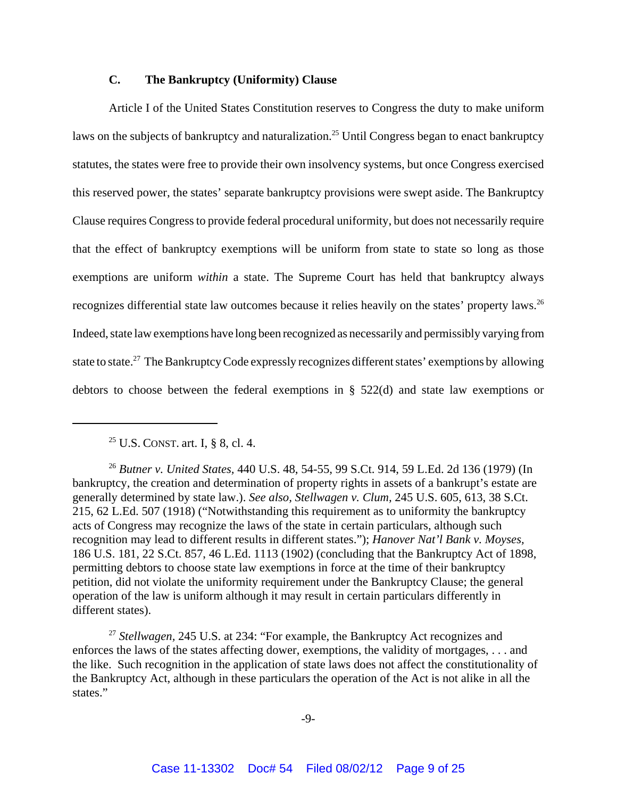## **C. The Bankruptcy (Uniformity) Clause**

Article I of the United States Constitution reserves to Congress the duty to make uniform laws on the subjects of bankruptcy and naturalization.<sup>25</sup> Until Congress began to enact bankruptcy statutes, the states were free to provide their own insolvency systems, but once Congress exercised this reserved power, the states' separate bankruptcy provisions were swept aside. The Bankruptcy Clause requires Congress to provide federal procedural uniformity, but does not necessarily require that the effect of bankruptcy exemptions will be uniform from state to state so long as those exemptions are uniform *within* a state. The Supreme Court has held that bankruptcy always recognizes differential state law outcomes because it relies heavily on the states' property laws.<sup>26</sup> Indeed, state law exemptions have long been recognized as necessarily and permissibly varying from state to state.<sup>27</sup> The Bankruptcy Code expressly recognizes different states' exemptions by allowing debtors to choose between the federal exemptions in § 522(d) and state law exemptions or

<sup>&</sup>lt;sup>25</sup> U.S. CONST. art. I, § 8, cl. 4.

<sup>26</sup> *Butner v. United States,* 440 U.S. 48, 54-55, 99 S.Ct. 914, 59 L.Ed. 2d 136 (1979) (In bankruptcy, the creation and determination of property rights in assets of a bankrupt's estate are generally determined by state law.). *See also, Stellwagen v. Clum,* 245 U.S. 605, 613, 38 S.Ct. 215, 62 L.Ed. 507 (1918) ("Notwithstanding this requirement as to uniformity the bankruptcy acts of Congress may recognize the laws of the state in certain particulars, although such recognition may lead to different results in different states."); *Hanover Nat'l Bank v. Moyses,* 186 U.S. 181, 22 S.Ct. 857, 46 L.Ed. 1113 (1902) (concluding that the Bankruptcy Act of 1898, permitting debtors to choose state law exemptions in force at the time of their bankruptcy petition, did not violate the uniformity requirement under the Bankruptcy Clause; the general operation of the law is uniform although it may result in certain particulars differently in different states).

<sup>27</sup> *Stellwagen,* 245 U.S. at 234: "For example, the Bankruptcy Act recognizes and enforces the laws of the states affecting dower, exemptions, the validity of mortgages, . . . and the like. Such recognition in the application of state laws does not affect the constitutionality of the Bankruptcy Act, although in these particulars the operation of the Act is not alike in all the states."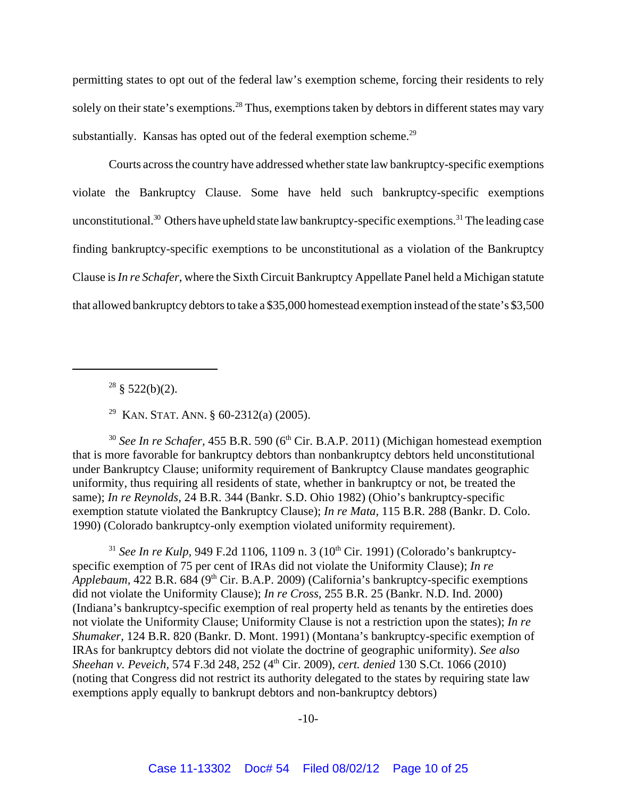permitting states to opt out of the federal law's exemption scheme, forcing their residents to rely solely on their state's exemptions.<sup>28</sup> Thus, exemptions taken by debtors in different states may vary substantially. Kansas has opted out of the federal exemption scheme.<sup>29</sup>

Courts across the country have addressed whether state law bankruptcy-specific exemptions violate the Bankruptcy Clause. Some have held such bankruptcy-specific exemptions unconstitutional.<sup>30</sup> Others have upheld state law bankruptcy-specific exemptions.<sup>31</sup> The leading case finding bankruptcy-specific exemptions to be unconstitutional as a violation of the Bankruptcy Clause is *In re Schafer*, where the Sixth Circuit Bankruptcy Appellate Panel held a Michigan statute that allowed bankruptcy debtors to take a \$35,000 homestead exemption instead of the state's \$3,500

 $28 \text{ } \frac{\text{}}{\text{}}$  \$ 522(b)(2).

<sup>29</sup> KAN. STAT. ANN. § 60-2312(a) (2005).

 $30$  *See In re Schafer*, 455 B.R. 590 ( $6<sup>th</sup>$  Cir. B.A.P. 2011) (Michigan homestead exemption that is more favorable for bankruptcy debtors than nonbankruptcy debtors held unconstitutional under Bankruptcy Clause; uniformity requirement of Bankruptcy Clause mandates geographic uniformity, thus requiring all residents of state, whether in bankruptcy or not, be treated the same); *In re Reynolds,* 24 B.R. 344 (Bankr. S.D. Ohio 1982) (Ohio's bankruptcy-specific exemption statute violated the Bankruptcy Clause); *In re Mata,* 115 B.R. 288 (Bankr. D. Colo. 1990) (Colorado bankruptcy-only exemption violated uniformity requirement).

<sup>31</sup> *See In re Kulp*, 949 F.2d 1106, 1109 n. 3 ( $10^{th}$  Cir. 1991) (Colorado's bankruptcyspecific exemption of 75 per cent of IRAs did not violate the Uniformity Clause); *In re Applebaum,* 422 B.R. 684 (9th Cir. B.A.P. 2009) (California's bankruptcy-specific exemptions did not violate the Uniformity Clause); *In re Cross,* 255 B.R. 25 (Bankr. N.D. Ind. 2000) (Indiana's bankruptcy-specific exemption of real property held as tenants by the entireties does not violate the Uniformity Clause; Uniformity Clause is not a restriction upon the states); *In re Shumaker,* 124 B.R. 820 (Bankr. D. Mont. 1991) (Montana's bankruptcy-specific exemption of IRAs for bankruptcy debtors did not violate the doctrine of geographic uniformity). *See also Sheehan v. Peveich,* 574 F.3d 248, 252 (4th Cir. 2009), *cert. denied* 130 S.Ct. 1066 (2010) (noting that Congress did not restrict its authority delegated to the states by requiring state law exemptions apply equally to bankrupt debtors and non-bankruptcy debtors)

-10-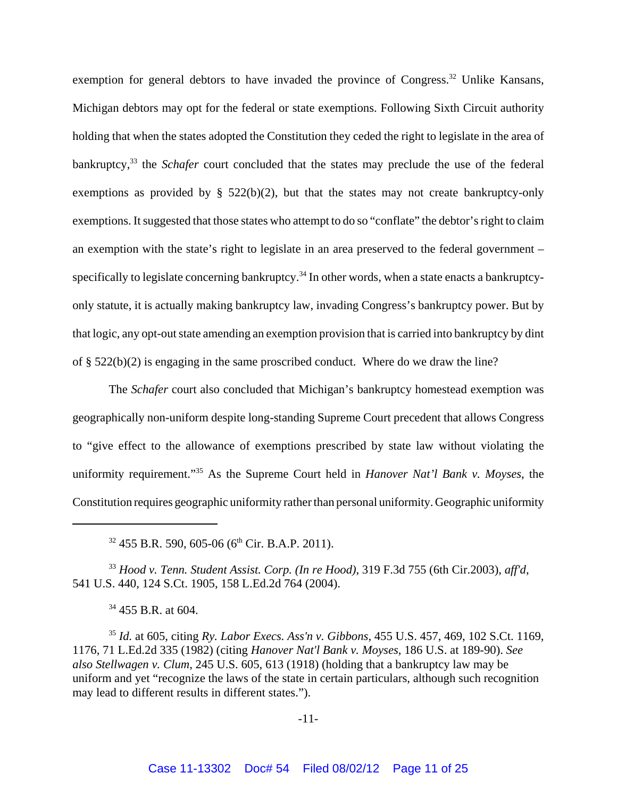exemption for general debtors to have invaded the province of Congress.<sup>32</sup> Unlike Kansans, Michigan debtors may opt for the federal or state exemptions. Following Sixth Circuit authority holding that when the states adopted the Constitution they ceded the right to legislate in the area of bankruptcy,<sup>33</sup> the *Schafer* court concluded that the states may preclude the use of the federal exemptions as provided by  $\S$  522(b)(2), but that the states may not create bankruptcy-only exemptions. It suggested that those states who attempt to do so "conflate" the debtor's right to claim an exemption with the state's right to legislate in an area preserved to the federal government – specifically to legislate concerning bankruptcy.<sup>34</sup> In other words, when a state enacts a bankruptcyonly statute, it is actually making bankruptcy law, invading Congress's bankruptcy power. But by that logic, any opt-out state amending an exemption provision that is carried into bankruptcy by dint of § 522(b)(2) is engaging in the same proscribed conduct. Where do we draw the line?

The *Schafer* court also concluded that Michigan's bankruptcy homestead exemption was geographically non-uniform despite long-standing Supreme Court precedent that allows Congress to "give effect to the allowance of exemptions prescribed by state law without violating the uniformity requirement."35 As the Supreme Court held in *Hanover Nat'l Bank v. Moyses*, the Constitution requires geographic uniformity rather than personal uniformity. Geographic uniformity

 $32$  455 B.R. 590, 605-06 (6<sup>th</sup> Cir. B.A.P. 2011).

<sup>33</sup> *Hood v. Tenn. Student Assist. Corp. (In re Hood)*, 319 F.3d 755 (6th Cir.2003), *aff'd*, 541 U.S. 440, 124 S.Ct. 1905, 158 L.Ed.2d 764 (2004).

 $34$  455 B.R. at 604.

<sup>35</sup> *Id.* at 605, citing *Ry. Labor Execs. Ass'n v. Gibbons*, 455 U.S. 457, 469, 102 S.Ct. 1169, 1176, 71 L.Ed.2d 335 (1982) (citing *Hanover Nat'l Bank v. Moyses*, 186 U.S. at 189-90). *See also Stellwagen v. Clum*, 245 U.S. 605, 613 (1918) (holding that a bankruptcy law may be uniform and yet "recognize the laws of the state in certain particulars, although such recognition may lead to different results in different states.").

-11-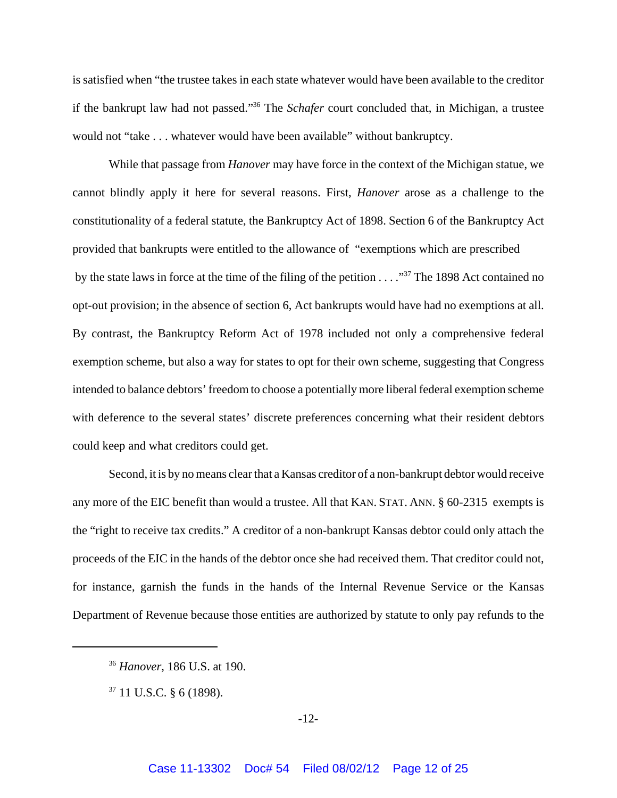is satisfied when "the trustee takes in each state whatever would have been available to the creditor if the bankrupt law had not passed."36 The *Schafer* court concluded that, in Michigan, a trustee would not "take . . . whatever would have been available" without bankruptcy.

While that passage from *Hanover* may have force in the context of the Michigan statue, we cannot blindly apply it here for several reasons. First, *Hanover* arose as a challenge to the constitutionality of a federal statute, the Bankruptcy Act of 1898. Section 6 of the Bankruptcy Act provided that bankrupts were entitled to the allowance of "exemptions which are prescribed by the state laws in force at the time of the filing of the petition . . . .<sup>37</sup> The 1898 Act contained no opt-out provision; in the absence of section 6, Act bankrupts would have had no exemptions at all. By contrast, the Bankruptcy Reform Act of 1978 included not only a comprehensive federal exemption scheme, but also a way for states to opt for their own scheme, suggesting that Congress intended to balance debtors' freedom to choose a potentially more liberal federal exemption scheme with deference to the several states' discrete preferences concerning what their resident debtors could keep and what creditors could get.

Second, it is by no means clear that a Kansas creditor of a non-bankrupt debtor would receive any more of the EIC benefit than would a trustee. All that KAN. STAT. ANN. § 60-2315 exempts is the "right to receive tax credits." A creditor of a non-bankrupt Kansas debtor could only attach the proceeds of the EIC in the hands of the debtor once she had received them. That creditor could not, for instance, garnish the funds in the hands of the Internal Revenue Service or the Kansas Department of Revenue because those entities are authorized by statute to only pay refunds to the

<sup>36</sup> *Hanover,* 186 U.S. at 190.

 $37$  11 U.S.C. § 6 (1898).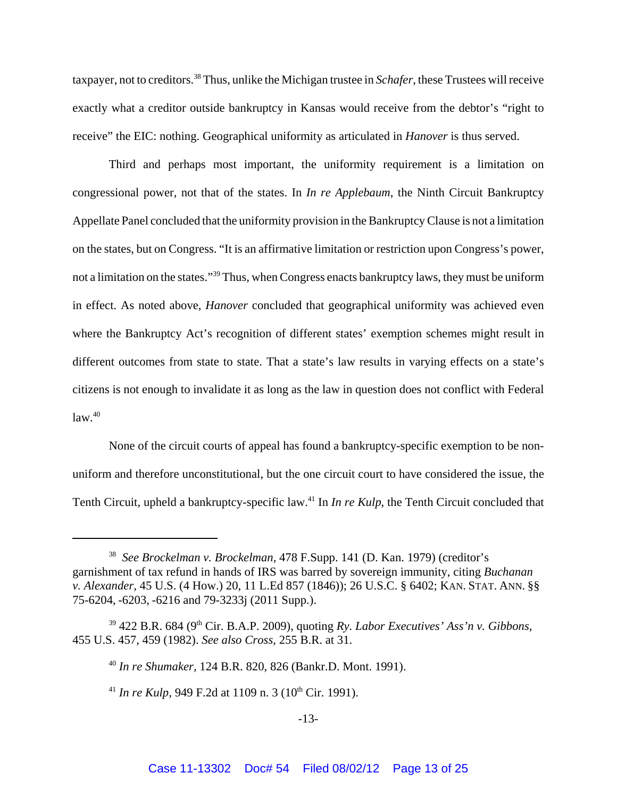taxpayer, not to creditors.38 Thus, unlike the Michigan trustee in *Schafer*, these Trustees will receive exactly what a creditor outside bankruptcy in Kansas would receive from the debtor's "right to receive" the EIC: nothing. Geographical uniformity as articulated in *Hanover* is thus served.

Third and perhaps most important, the uniformity requirement is a limitation on congressional power, not that of the states. In *In re Applebaum*, the Ninth Circuit Bankruptcy Appellate Panel concluded that the uniformity provision in the Bankruptcy Clause is not a limitation on the states, but on Congress. "It is an affirmative limitation or restriction upon Congress's power, not a limitation on the states."39 Thus, when Congress enacts bankruptcy laws, they must be uniform in effect. As noted above, *Hanover* concluded that geographical uniformity was achieved even where the Bankruptcy Act's recognition of different states' exemption schemes might result in different outcomes from state to state. That a state's law results in varying effects on a state's citizens is not enough to invalidate it as long as the law in question does not conflict with Federal  $law<sup>40</sup>$ 

None of the circuit courts of appeal has found a bankruptcy-specific exemption to be nonuniform and therefore unconstitutional, but the one circuit court to have considered the issue, the Tenth Circuit, upheld a bankruptcy-specific law.41 In *In re Kulp*, the Tenth Circuit concluded that

<sup>38</sup> *See Brockelman v. Brockelman,* 478 F.Supp. 141 (D. Kan. 1979) (creditor's garnishment of tax refund in hands of IRS was barred by sovereign immunity, citing *Buchanan v. Alexander,* 45 U.S. (4 How.) 20, 11 L.Ed 857 (1846)); 26 U.S.C. § 6402; KAN. STAT. ANN. §§ 75-6204, -6203, -6216 and 79-3233j (2011 Supp.).

<sup>39 422</sup> B.R. 684 (9th Cir. B.A.P. 2009), quoting *Ry. Labor Executives' Ass'n v. Gibbons*, 455 U.S. 457, 459 (1982). *See also Cross,* 255 B.R. at 31.

<sup>40</sup> *In re Shumaker,* 124 B.R. 820, 826 (Bankr.D. Mont. 1991).

<sup>&</sup>lt;sup>41</sup> *In re Kulp*, 949 F.2d at 1109 n. 3 (10<sup>th</sup> Cir. 1991).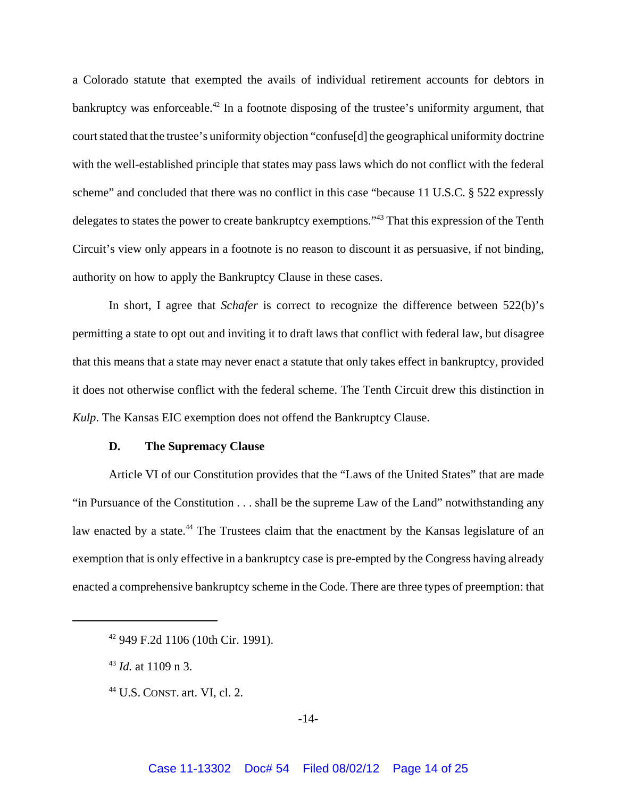a Colorado statute that exempted the avails of individual retirement accounts for debtors in bankruptcy was enforceable.<sup>42</sup> In a footnote disposing of the trustee's uniformity argument, that court stated that the trustee's uniformity objection "confuse[d] the geographical uniformity doctrine with the well-established principle that states may pass laws which do not conflict with the federal scheme" and concluded that there was no conflict in this case "because 11 U.S.C. § 522 expressly delegates to states the power to create bankruptcy exemptions."43 That this expression of the Tenth Circuit's view only appears in a footnote is no reason to discount it as persuasive, if not binding, authority on how to apply the Bankruptcy Clause in these cases.

In short, I agree that *Schafer* is correct to recognize the difference between 522(b)'s permitting a state to opt out and inviting it to draft laws that conflict with federal law, but disagree that this means that a state may never enact a statute that only takes effect in bankruptcy, provided it does not otherwise conflict with the federal scheme. The Tenth Circuit drew this distinction in *Kulp*. The Kansas EIC exemption does not offend the Bankruptcy Clause.

## **D. The Supremacy Clause**

Article VI of our Constitution provides that the "Laws of the United States" that are made "in Pursuance of the Constitution . . . shall be the supreme Law of the Land" notwithstanding any law enacted by a state.<sup>44</sup> The Trustees claim that the enactment by the Kansas legislature of an exemption that is only effective in a bankruptcy case is pre-empted by the Congress having already enacted a comprehensive bankruptcy scheme in the Code. There are three types of preemption: that

<sup>42 949</sup> F.2d 1106 (10th Cir. 1991).

<sup>43</sup> *Id.* at 1109 n 3.

 $44$  U.S. CONST. art. VI, cl. 2.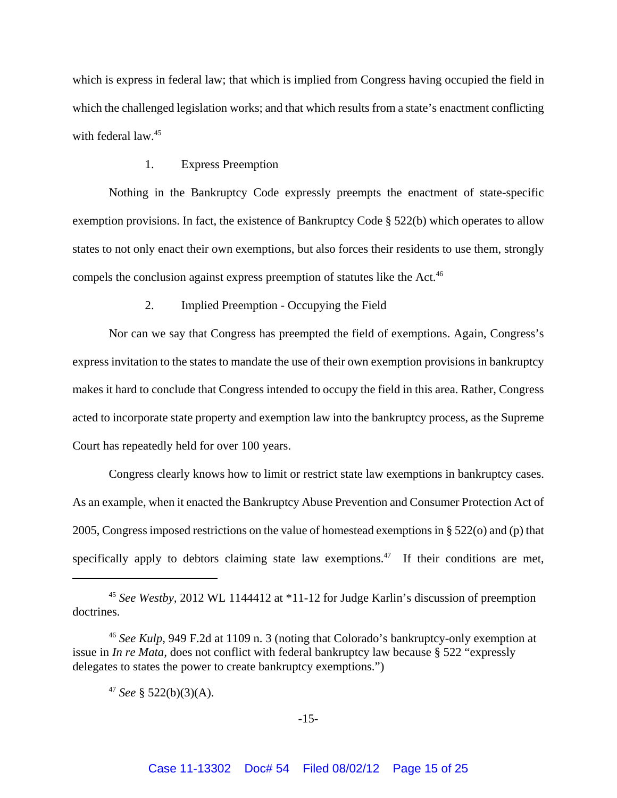which is express in federal law; that which is implied from Congress having occupied the field in which the challenged legislation works; and that which results from a state's enactment conflicting with federal law.<sup>45</sup>

#### 1. Express Preemption

Nothing in the Bankruptcy Code expressly preempts the enactment of state-specific exemption provisions. In fact, the existence of Bankruptcy Code § 522(b) which operates to allow states to not only enact their own exemptions, but also forces their residents to use them, strongly compels the conclusion against express preemption of statutes like the Act.<sup>46</sup>

# 2. Implied Preemption - Occupying the Field

Nor can we say that Congress has preempted the field of exemptions. Again, Congress's express invitation to the states to mandate the use of their own exemption provisions in bankruptcy makes it hard to conclude that Congress intended to occupy the field in this area. Rather, Congress acted to incorporate state property and exemption law into the bankruptcy process, as the Supreme Court has repeatedly held for over 100 years.

Congress clearly knows how to limit or restrict state law exemptions in bankruptcy cases. As an example, when it enacted the Bankruptcy Abuse Prevention and Consumer Protection Act of 2005, Congress imposed restrictions on the value of homestead exemptions in § 522(o) and (p) that specifically apply to debtors claiming state law exemptions. $47$  If their conditions are met,

<sup>45</sup> *See Westby,* 2012 WL 1144412 at \*11-12 for Judge Karlin's discussion of preemption doctrines.

<sup>46</sup> *See Kulp,* 949 F.2d at 1109 n. 3 (noting that Colorado's bankruptcy-only exemption at issue in *In re Mata,* does not conflict with federal bankruptcy law because § 522 "expressly delegates to states the power to create bankruptcy exemptions.")

<sup>&</sup>lt;sup>47</sup> *See* § 522(b)(3)(A).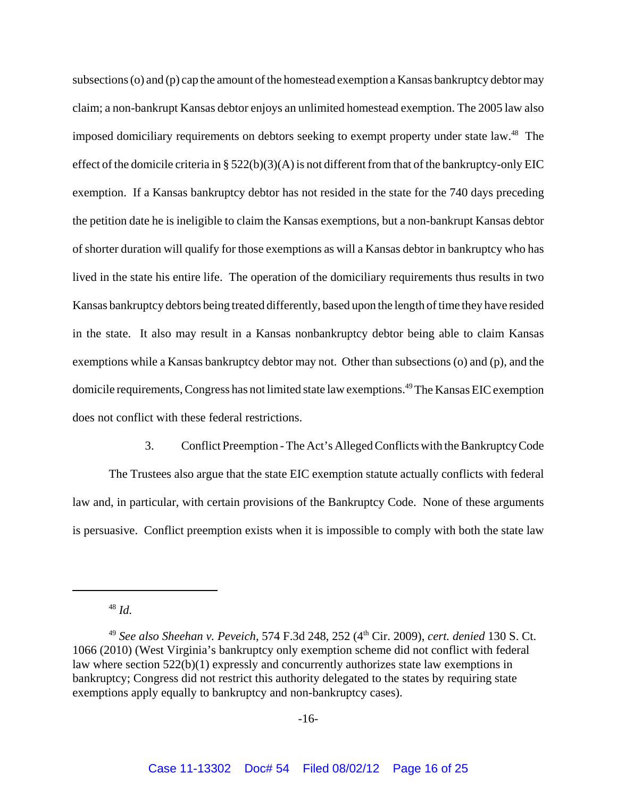subsections (o) and (p) cap the amount of the homestead exemption a Kansas bankruptcy debtor may claim; a non-bankrupt Kansas debtor enjoys an unlimited homestead exemption. The 2005 law also imposed domiciliary requirements on debtors seeking to exempt property under state law.<sup>48</sup> The effect of the domicile criteria in §  $522(b)(3)(A)$  is not different from that of the bankruptcy-only EIC exemption. If a Kansas bankruptcy debtor has not resided in the state for the 740 days preceding the petition date he is ineligible to claim the Kansas exemptions, but a non-bankrupt Kansas debtor of shorter duration will qualify for those exemptions as will a Kansas debtor in bankruptcy who has lived in the state his entire life. The operation of the domiciliary requirements thus results in two Kansas bankruptcy debtors being treated differently, based upon the length of time they have resided in the state. It also may result in a Kansas nonbankruptcy debtor being able to claim Kansas exemptions while a Kansas bankruptcy debtor may not. Other than subsections (o) and (p), and the domicile requirements, Congress has not limited state law exemptions.49 The Kansas EIC exemption does not conflict with these federal restrictions.

3. Conflict Preemption - The Act's Alleged Conflicts with the Bankruptcy Code The Trustees also argue that the state EIC exemption statute actually conflicts with federal law and, in particular, with certain provisions of the Bankruptcy Code. None of these arguments is persuasive. Conflict preemption exists when it is impossible to comply with both the state law

<sup>48</sup> *Id.*

<sup>49</sup> *See also Sheehan v. Peveich,* 574 F.3d 248, 252 (4th Cir. 2009), *cert. denied* 130 S. Ct. 1066 (2010) (West Virginia's bankruptcy only exemption scheme did not conflict with federal law where section 522(b)(1) expressly and concurrently authorizes state law exemptions in bankruptcy; Congress did not restrict this authority delegated to the states by requiring state exemptions apply equally to bankruptcy and non-bankruptcy cases).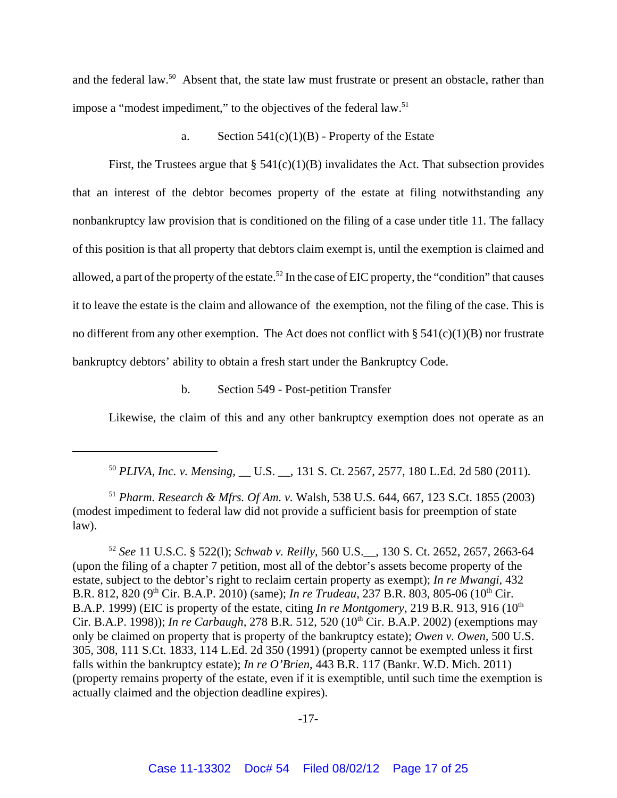and the federal law.<sup>50</sup> Absent that, the state law must frustrate or present an obstacle, rather than impose a "modest impediment," to the objectives of the federal law.<sup>51</sup>

a. Section  $541(c)(1)(B)$  - Property of the Estate

First, the Trustees argue that  $\S 541(c)(1)(B)$  invalidates the Act. That subsection provides that an interest of the debtor becomes property of the estate at filing notwithstanding any nonbankruptcy law provision that is conditioned on the filing of a case under title 11. The fallacy of this position is that all property that debtors claim exempt is, until the exemption is claimed and allowed, a part of the property of the estate.<sup>52</sup> In the case of EIC property, the "condition" that causes it to leave the estate is the claim and allowance of the exemption, not the filing of the case. This is no different from any other exemption. The Act does not conflict with  $\S 541(c)(1)(B)$  nor frustrate bankruptcy debtors' ability to obtain a fresh start under the Bankruptcy Code.

b. Section 549 - Post-petition Transfer

Likewise, the claim of this and any other bankruptcy exemption does not operate as an

<sup>51</sup> *Pharm. Research & Mfrs. Of Am. v.* Walsh, 538 U.S. 644, 667, 123 S.Ct. 1855 (2003) (modest impediment to federal law did not provide a sufficient basis for preemption of state law).

<sup>52</sup> *See* 11 U.S.C. § 522(l); *Schwab v. Reilly,* 560 U.S.\_\_, 130 S. Ct. 2652, 2657, 2663-64 (upon the filing of a chapter 7 petition, most all of the debtor's assets become property of the estate, subject to the debtor's right to reclaim certain property as exempt); *In re Mwangi,* 432 B.R. 812, 820 (9<sup>th</sup> Cir. B.A.P. 2010) (same); *In re Trudeau*, 237 B.R. 803, 805-06 (10<sup>th</sup> Cir. B.A.P. 1999) (EIC is property of the estate, citing *In re Montgomery*, 219 B.R. 913, 916 (10<sup>th</sup>) Cir. B.A.P. 1998)); *In re Carbaugh,* 278 B.R. 512, 520 (10th Cir. B.A.P. 2002) (exemptions may only be claimed on property that is property of the bankruptcy estate); *Owen v. Owen,* 500 U.S. 305, 308, 111 S.Ct. 1833, 114 L.Ed. 2d 350 (1991) (property cannot be exempted unless it first falls within the bankruptcy estate); *In re O'Brien*, 443 B.R. 117 (Bankr. W.D. Mich. 2011) (property remains property of the estate, even if it is exemptible, until such time the exemption is actually claimed and the objection deadline expires).

<sup>50</sup> *PLIVA, Inc. v. Mensing,* \_\_ U.S. \_\_, 131 S. Ct. 2567, 2577, 180 L.Ed. 2d 580 (2011)*.*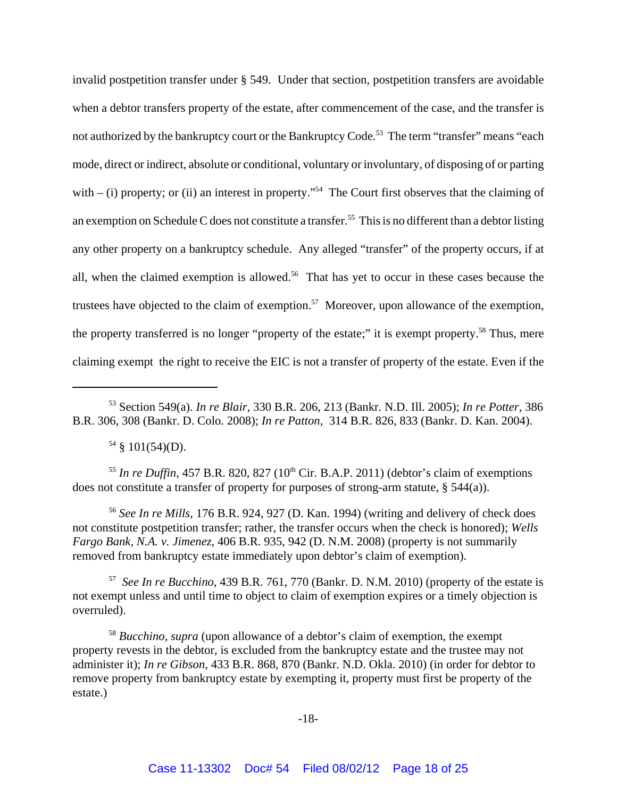invalid postpetition transfer under § 549. Under that section, postpetition transfers are avoidable when a debtor transfers property of the estate, after commencement of the case, and the transfer is not authorized by the bankruptcy court or the Bankruptcy Code*.* 53 The term "transfer" means "each mode, direct or indirect, absolute or conditional, voluntary or involuntary, of disposing of or parting with  $-$  (i) property; or (ii) an interest in property."<sup>54</sup> The Court first observes that the claiming of an exemption on Schedule C does not constitute a transfer.<sup>55</sup> This is no different than a debtor listing any other property on a bankruptcy schedule. Any alleged "transfer" of the property occurs, if at all, when the claimed exemption is allowed.<sup>56</sup> That has yet to occur in these cases because the trustees have objected to the claim of exemption.<sup>57</sup> Moreover, upon allowance of the exemption, the property transferred is no longer "property of the estate;" it is exempt property.<sup>58</sup> Thus, mere claiming exempt the right to receive the EIC is not a transfer of property of the estate. Even if the

 $54 \& 101(54)(D)$ .

 $<sup>55</sup>$  *In re Duffin,* 457 B.R. 820, 827 (10<sup>th</sup> Cir. B.A.P. 2011) (debtor's claim of exemptions</sup> does not constitute a transfer of property for purposes of strong-arm statute, § 544(a)).

<sup>56</sup> *See In re Mills,* 176 B.R. 924, 927 (D. Kan. 1994) (writing and delivery of check does not constitute postpetition transfer; rather, the transfer occurs when the check is honored); *Wells Fargo Bank, N.A. v. Jimenez*, 406 B.R. 935, 942 (D. N.M. 2008) (property is not summarily removed from bankruptcy estate immediately upon debtor's claim of exemption).

57 *See In re Bucchino,* 439 B.R. 761, 770 (Bankr. D. N.M. 2010) (property of the estate is not exempt unless and until time to object to claim of exemption expires or a timely objection is overruled).

<sup>58</sup> *Bucchino, supra* (upon allowance of a debtor's claim of exemption, the exempt property revests in the debtor, is excluded from the bankruptcy estate and the trustee may not administer it); *In re Gibson,* 433 B.R. 868, 870 (Bankr. N.D. Okla. 2010) (in order for debtor to remove property from bankruptcy estate by exempting it, property must first be property of the estate.)

<sup>53</sup> Section 549(a). *In re Blair,* 330 B.R. 206, 213 (Bankr. N.D. Ill. 2005); *In re Potter,* 386 B.R. 306, 308 (Bankr. D. Colo. 2008); *In re Patton,* 314 B.R. 826, 833 (Bankr. D. Kan. 2004).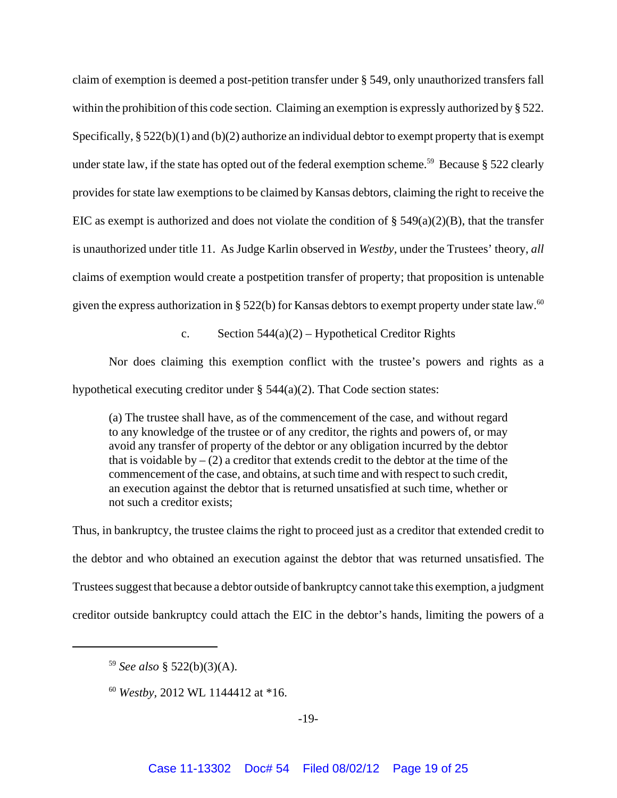claim of exemption is deemed a post-petition transfer under § 549, only unauthorized transfers fall within the prohibition of this code section. Claiming an exemption is expressly authorized by § 522. Specifically, § 522(b)(1) and (b)(2) authorize an individual debtor to exempt property that is exempt under state law, if the state has opted out of the federal exemption scheme.<sup>59</sup> Because § 522 clearly provides for state law exemptions to be claimed by Kansas debtors, claiming the right to receive the EIC as exempt is authorized and does not violate the condition of  $\S$  549(a)(2)(B), that the transfer is unauthorized under title 11. As Judge Karlin observed in *Westby,* under the Trustees' theory, *all* claims of exemption would create a postpetition transfer of property; that proposition is untenable given the express authorization in § 522(b) for Kansas debtors to exempt property under state law.<sup>60</sup>

c. Section  $544(a)(2)$  – Hypothetical Creditor Rights

Nor does claiming this exemption conflict with the trustee's powers and rights as a hypothetical executing creditor under § 544(a)(2). That Code section states:

(a) The trustee shall have, as of the commencement of the case, and without regard to any knowledge of the trustee or of any creditor, the rights and powers of, or may avoid any transfer of property of the debtor or any obligation incurred by the debtor that is voidable by  $- (2)$  a creditor that extends credit to the debtor at the time of the commencement of the case, and obtains, at such time and with respect to such credit, an execution against the debtor that is returned unsatisfied at such time, whether or not such a creditor exists;

Thus, in bankruptcy, the trustee claims the right to proceed just as a creditor that extended credit to the debtor and who obtained an execution against the debtor that was returned unsatisfied. The Trustees suggest that because a debtor outside of bankruptcy cannot take this exemption, a judgment creditor outside bankruptcy could attach the EIC in the debtor's hands, limiting the powers of a

<sup>60</sup> *Westby,* 2012 WL 1144412 at \*16.

<sup>59</sup> *See also* § 522(b)(3)(A).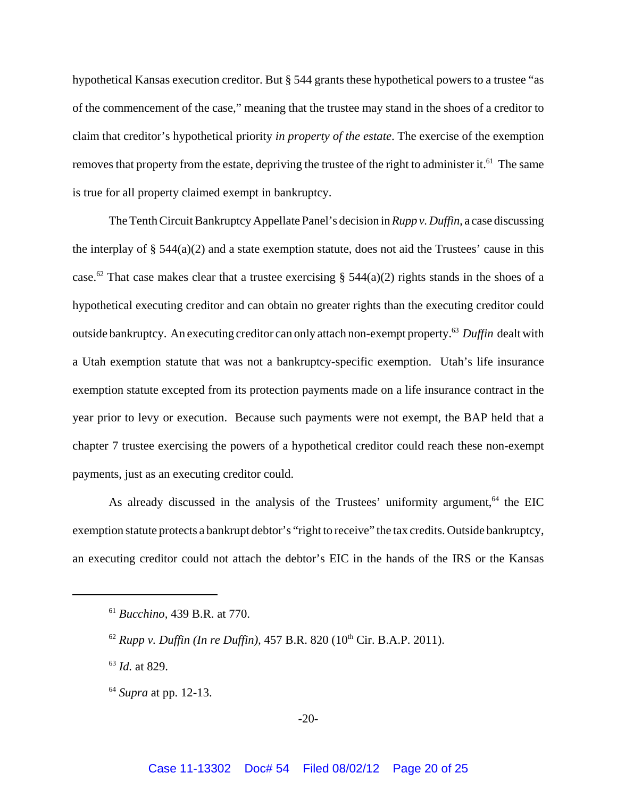hypothetical Kansas execution creditor. But § 544 grants these hypothetical powers to a trustee "as of the commencement of the case," meaning that the trustee may stand in the shoes of a creditor to claim that creditor's hypothetical priority *in property of the estate*. The exercise of the exemption removes that property from the estate, depriving the trustee of the right to administer it.<sup>61</sup> The same is true for all property claimed exempt in bankruptcy.

The Tenth Circuit Bankruptcy Appellate Panel's decision in *Rupp v. Duffin*, a case discussing the interplay of  $\S$  544(a)(2) and a state exemption statute, does not aid the Trustees' cause in this case.<sup>62</sup> That case makes clear that a trustee exercising § 544(a)(2) rights stands in the shoes of a hypothetical executing creditor and can obtain no greater rights than the executing creditor could outside bankruptcy. An executing creditor can only attach non-exempt property.63 *Duffin* dealt with a Utah exemption statute that was not a bankruptcy-specific exemption. Utah's life insurance exemption statute excepted from its protection payments made on a life insurance contract in the year prior to levy or execution. Because such payments were not exempt, the BAP held that a chapter 7 trustee exercising the powers of a hypothetical creditor could reach these non-exempt payments, just as an executing creditor could.

As already discussed in the analysis of the Trustees' uniformity argument, $64$  the EIC exemption statute protects a bankrupt debtor's "right to receive" the tax credits. Outside bankruptcy, an executing creditor could not attach the debtor's EIC in the hands of the IRS or the Kansas

<sup>63</sup> *Id.* at 829.

<sup>64</sup> *Supra* at pp. 12-13.

-20-

<sup>61</sup> *Bucchino,* 439 B.R. at 770.

 $^{62}$  *Rupp v. Duffin (In re Duffin),* 457 B.R. 820 (10<sup>th</sup> Cir. B.A.P. 2011).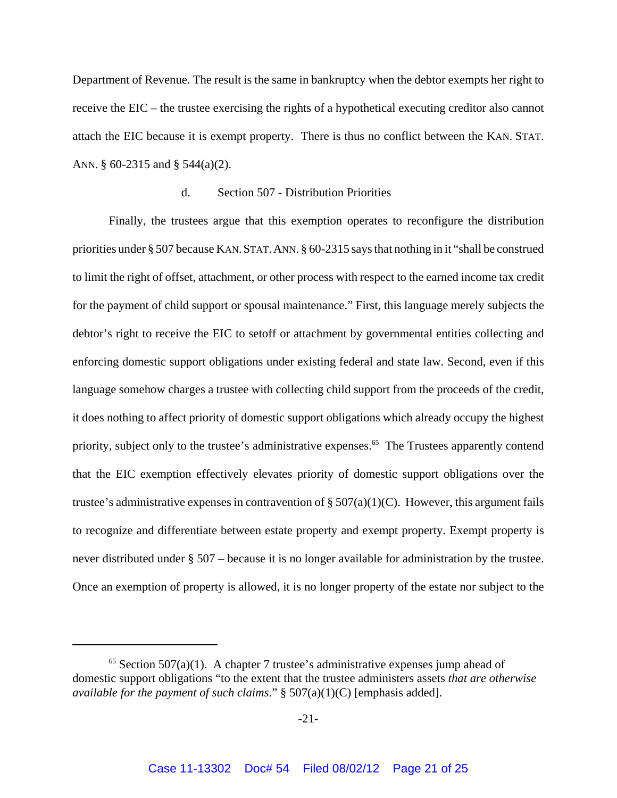Department of Revenue. The result is the same in bankruptcy when the debtor exempts her right to receive the EIC – the trustee exercising the rights of a hypothetical executing creditor also cannot attach the EIC because it is exempt property. There is thus no conflict between the KAN. STAT. ANN. § 60-2315 and § 544(a)(2).

#### d. Section 507 - Distribution Priorities

Finally, the trustees argue that this exemption operates to reconfigure the distribution priorities under § 507 because KAN. STAT. ANN. § 60-2315 says that nothing in it "shall be construed to limit the right of offset, attachment, or other process with respect to the earned income tax credit for the payment of child support or spousal maintenance." First, this language merely subjects the debtor's right to receive the EIC to setoff or attachment by governmental entities collecting and enforcing domestic support obligations under existing federal and state law. Second, even if this language somehow charges a trustee with collecting child support from the proceeds of the credit, it does nothing to affect priority of domestic support obligations which already occupy the highest priority, subject only to the trustee's administrative expenses.<sup>65</sup> The Trustees apparently contend that the EIC exemption effectively elevates priority of domestic support obligations over the trustee's administrative expenses in contravention of  $\S 507(a)(1)(C)$ . However, this argument fails to recognize and differentiate between estate property and exempt property. Exempt property is never distributed under § 507 – because it is no longer available for administration by the trustee. Once an exemption of property is allowed, it is no longer property of the estate nor subject to the

 $65$  Section 507(a)(1). A chapter 7 trustee's administrative expenses jump ahead of domestic support obligations "to the extent that the trustee administers assets *that are otherwise available for the payment of such claims*." § 507(a)(1)(C) [emphasis added].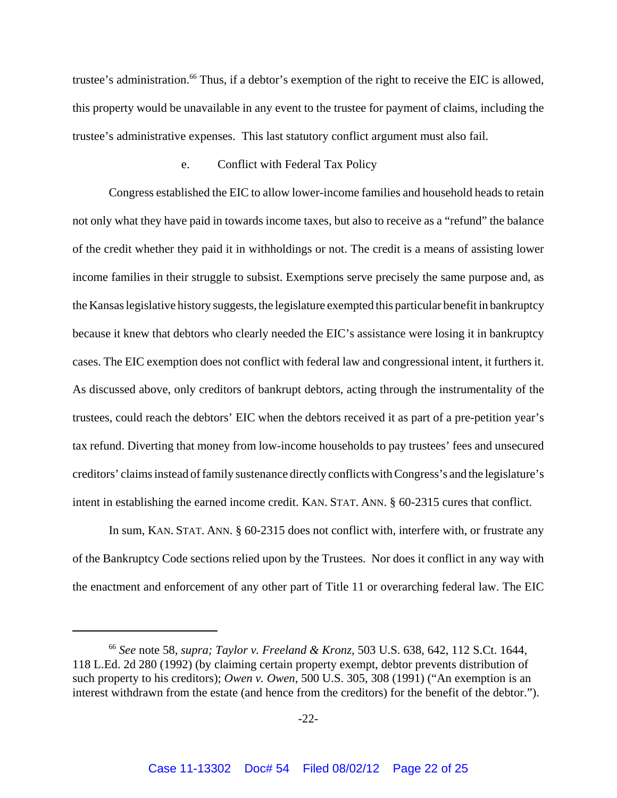trustee's administration.<sup>66</sup> Thus, if a debtor's exemption of the right to receive the EIC is allowed, this property would be unavailable in any event to the trustee for payment of claims, including the trustee's administrative expenses. This last statutory conflict argument must also fail.

#### e. Conflict with Federal Tax Policy

Congress established the EIC to allow lower-income families and household heads to retain not only what they have paid in towards income taxes, but also to receive as a "refund" the balance of the credit whether they paid it in withholdings or not. The credit is a means of assisting lower income families in their struggle to subsist. Exemptions serve precisely the same purpose and, as the Kansas legislative history suggests, the legislature exempted this particular benefit in bankruptcy because it knew that debtors who clearly needed the EIC's assistance were losing it in bankruptcy cases. The EIC exemption does not conflict with federal law and congressional intent, it furthers it. As discussed above, only creditors of bankrupt debtors, acting through the instrumentality of the trustees, could reach the debtors' EIC when the debtors received it as part of a pre-petition year's tax refund. Diverting that money from low-income households to pay trustees' fees and unsecured creditors' claims instead of family sustenance directly conflicts with Congress's and the legislature's intent in establishing the earned income credit. KAN. STAT. ANN. § 60-2315 cures that conflict.

In sum, KAN. STAT. ANN. § 60-2315 does not conflict with, interfere with, or frustrate any of the Bankruptcy Code sections relied upon by the Trustees. Nor does it conflict in any way with the enactment and enforcement of any other part of Title 11 or overarching federal law. The EIC

<sup>66</sup> *See* note 58, *supra; Taylor v. Freeland & Kronz,* 503 U.S. 638, 642, 112 S.Ct. 1644, 118 L.Ed. 2d 280 (1992) (by claiming certain property exempt, debtor prevents distribution of such property to his creditors); *Owen v. Owen,* 500 U.S. 305, 308 (1991) ("An exemption is an interest withdrawn from the estate (and hence from the creditors) for the benefit of the debtor.").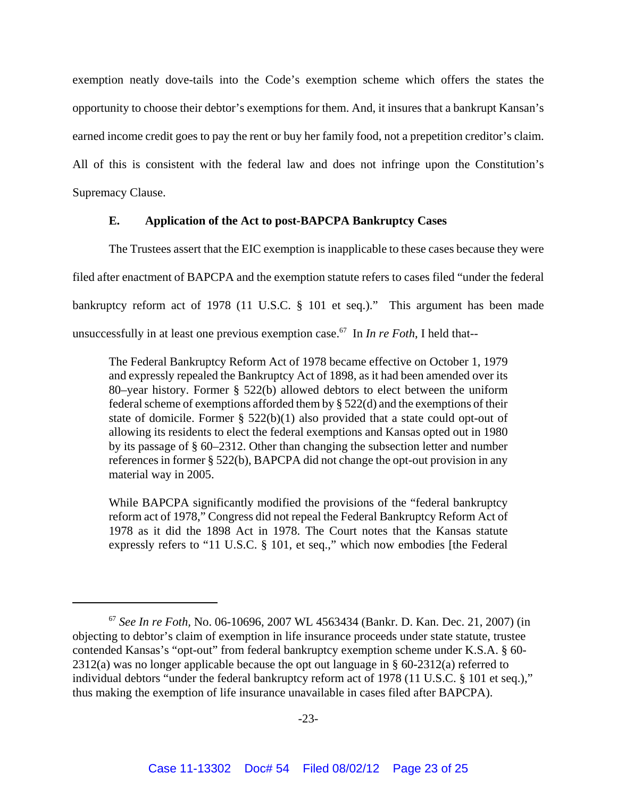exemption neatly dove-tails into the Code's exemption scheme which offers the states the opportunity to choose their debtor's exemptions for them. And, it insures that a bankrupt Kansan's earned income credit goes to pay the rent or buy her family food, not a prepetition creditor's claim. All of this is consistent with the federal law and does not infringe upon the Constitution's Supremacy Clause.

### **E. Application of the Act to post-BAPCPA Bankruptcy Cases**

The Trustees assert that the EIC exemption is inapplicable to these cases because they were filed after enactment of BAPCPA and the exemption statute refers to cases filed "under the federal bankruptcy reform act of 1978 (11 U.S.C. § 101 et seq.)." This argument has been made unsuccessfully in at least one previous exemption case.<sup>67</sup> In *In re Foth*, I held that--

The Federal Bankruptcy Reform Act of 1978 became effective on October 1, 1979 and expressly repealed the Bankruptcy Act of 1898, as it had been amended over its 80–year history. Former § 522(b) allowed debtors to elect between the uniform federal scheme of exemptions afforded them by § 522(d) and the exemptions of their state of domicile. Former  $\S$  522(b)(1) also provided that a state could opt-out of allowing its residents to elect the federal exemptions and Kansas opted out in 1980 by its passage of § 60–2312. Other than changing the subsection letter and number references in former § 522(b), BAPCPA did not change the opt-out provision in any material way in 2005.

While BAPCPA significantly modified the provisions of the "federal bankruptcy reform act of 1978," Congress did not repeal the Federal Bankruptcy Reform Act of 1978 as it did the 1898 Act in 1978. The Court notes that the Kansas statute expressly refers to "11 U.S.C. § 101, et seq.," which now embodies [the Federal

<sup>67</sup> *See In re Foth,* No. 06-10696, 2007 WL 4563434 (Bankr. D. Kan. Dec. 21, 2007) (in objecting to debtor's claim of exemption in life insurance proceeds under state statute, trustee contended Kansas's "opt-out" from federal bankruptcy exemption scheme under K.S.A. § 60- 2312(a) was no longer applicable because the opt out language in § 60-2312(a) referred to individual debtors "under the federal bankruptcy reform act of 1978 (11 U.S.C. § 101 et seq.)," thus making the exemption of life insurance unavailable in cases filed after BAPCPA).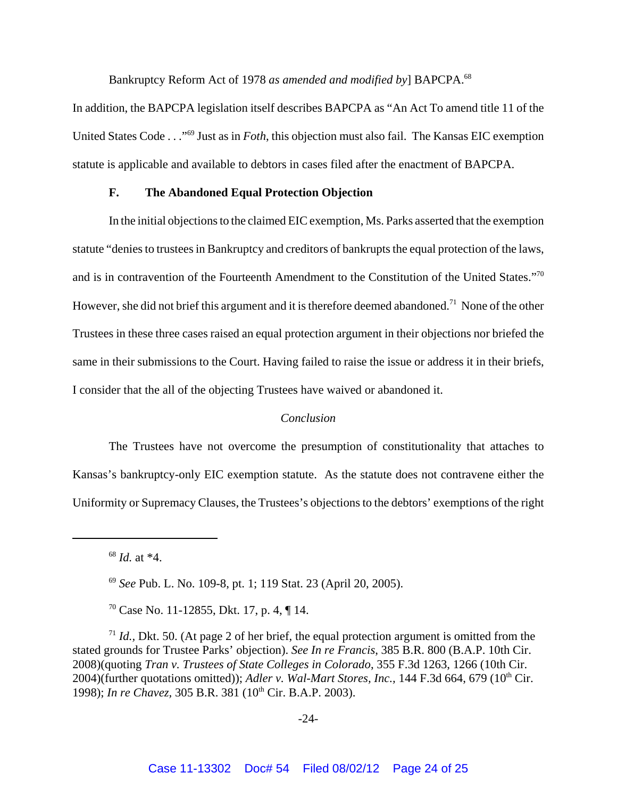Bankruptcy Reform Act of 1978 *as amended and modified by*] BAPCPA.<sup>68</sup>

In addition, the BAPCPA legislation itself describes BAPCPA as "An Act To amend title 11 of the United States Code . . ."69 Just as in *Foth*, this objection must also fail. The Kansas EIC exemption statute is applicable and available to debtors in cases filed after the enactment of BAPCPA.

#### **F. The Abandoned Equal Protection Objection**

In the initial objections to the claimed EIC exemption, Ms. Parks asserted that the exemption statute "denies to trustees in Bankruptcy and creditors of bankrupts the equal protection of the laws, and is in contravention of the Fourteenth Amendment to the Constitution of the United States."70 However, she did not brief this argument and it is therefore deemed abandoned.<sup>71</sup> None of the other Trustees in these three cases raised an equal protection argument in their objections nor briefed the same in their submissions to the Court. Having failed to raise the issue or address it in their briefs, I consider that the all of the objecting Trustees have waived or abandoned it.

#### *Conclusion*

The Trustees have not overcome the presumption of constitutionality that attaches to Kansas's bankruptcy-only EIC exemption statute. As the statute does not contravene either the Uniformity or Supremacy Clauses, the Trustees's objections to the debtors' exemptions of the right

<sup>68</sup> *Id.* at \*4.

 $70$  Case No. 11-12855, Dkt. 17, p. 4, ¶ 14.

<sup>71</sup> *Id.*, Dkt. 50. (At page 2 of her brief, the equal protection argument is omitted from the stated grounds for Trustee Parks' objection). *See In re Francis*, 385 B.R. 800 (B.A.P. 10th Cir. 2008)(quoting *Tran v. Trustees of State Colleges in Colorado*, 355 F.3d 1263, 1266 (10th Cir. 2004)(further quotations omitted)); *Adler v. Wal-Mart Stores, Inc.*, 144 F.3d 664, 679 (10<sup>th</sup> Cir. 1998); *In re Chavez*, 305 B.R. 381 (10<sup>th</sup> Cir. B.A.P. 2003).

-24-

<sup>69</sup> *See* Pub. L. No. 109-8, pt. 1; 119 Stat. 23 (April 20, 2005).